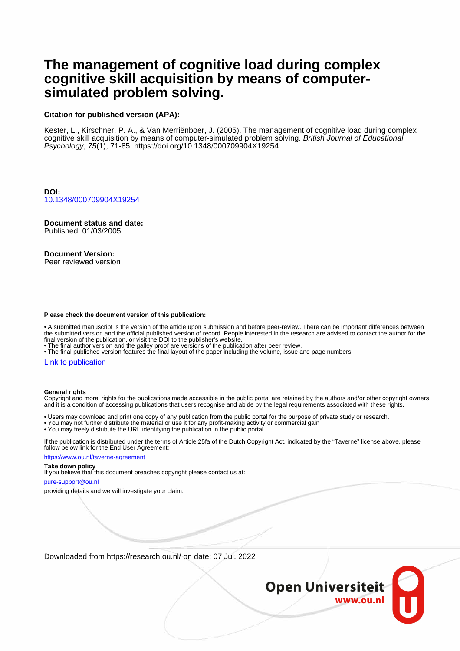# **The management of cognitive load during complex cognitive skill acquisition by means of computersimulated problem solving.**

## **Citation for published version (APA):**

Kester, L., Kirschner, P. A., & Van Merriënboer, J. (2005). The management of cognitive load during complex cognitive skill acquisition by means of computer-simulated problem solving. British Journal of Educational Psychology, 75(1), 71-85. <https://doi.org/10.1348/000709904X19254>

**DOI:** [10.1348/000709904X19254](https://doi.org/10.1348/000709904X19254)

**Document status and date:** Published: 01/03/2005

# **Document Version:**

Peer reviewed version

### **Please check the document version of this publication:**

• A submitted manuscript is the version of the article upon submission and before peer-review. There can be important differences between the submitted version and the official published version of record. People interested in the research are advised to contact the author for the final version of the publication, or visit the DOI to the publisher's website.

• The final author version and the galley proof are versions of the publication after peer review.

• The final published version features the final layout of the paper including the volume, issue and page numbers.

## [Link to publication](https://research.ou.nl/en/publications/e5f4f06e-3f47-4fda-be72-eeba1c3df597)

#### **General rights**

Copyright and moral rights for the publications made accessible in the public portal are retained by the authors and/or other copyright owners and it is a condition of accessing publications that users recognise and abide by the legal requirements associated with these rights.

• Users may download and print one copy of any publication from the public portal for the purpose of private study or research.

- You may not further distribute the material or use it for any profit-making activity or commercial gain
- You may freely distribute the URL identifying the publication in the public portal.

If the publication is distributed under the terms of Article 25fa of the Dutch Copyright Act, indicated by the "Taverne" license above, please follow below link for the End User Agreement:

https://www.ou.nl/taverne-agreement

#### **Take down policy**

If you believe that this document breaches copyright please contact us at:

pure-support@ou.nl

providing details and we will investigate your claim.

Downloaded from https://research.ou.nl/ on date: 07 Jul. 2022